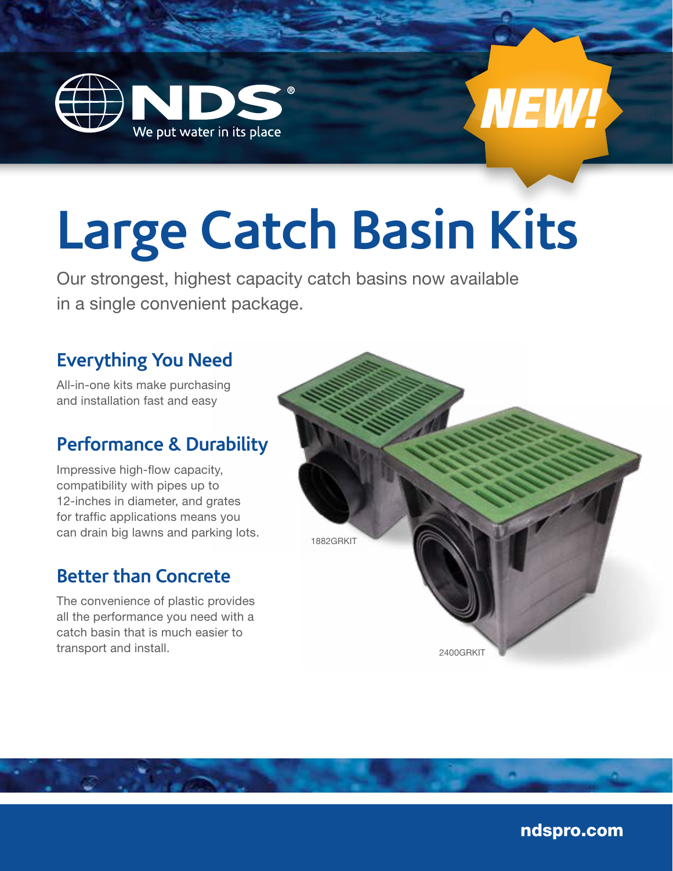



# **Large Catch Basin Kits**

Our strongest, highest capacity catch basins now available in a single convenient package.

#### **Everything You Need**

All-in-one kits make purchasing and installation fast and easy

#### **Performance & Durability**

Impressive high-flow capacity, compatibility with pipes up to 12-inches in diameter, and grates for traffic applications means you can drain big lawns and parking lots.

#### **Better than Concrete**

The convenience of plastic provides all the performance you need with a catch basin that is much easier to transport and install.